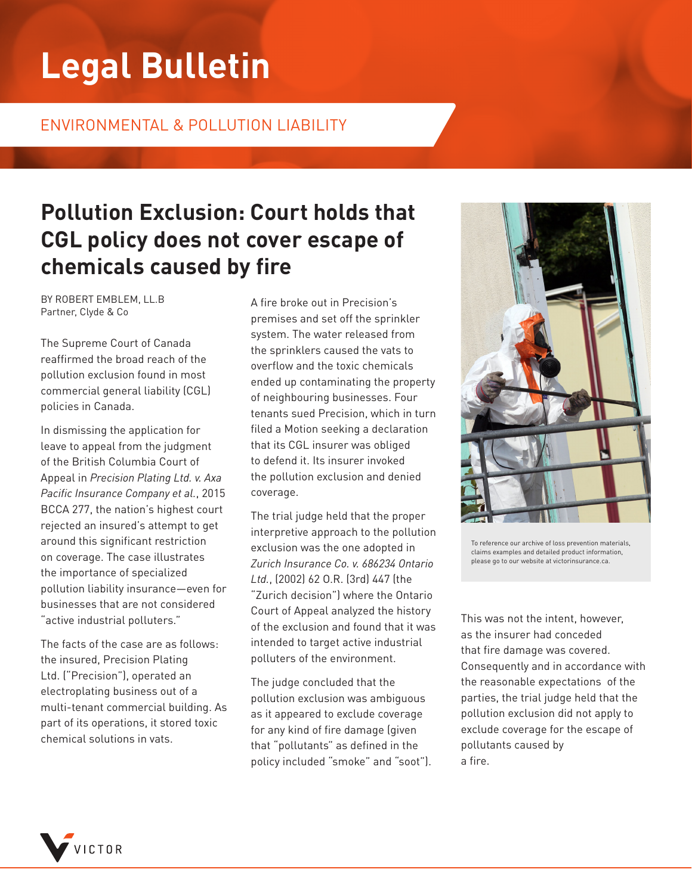# **Legal Bulletin**

#### ENVIRONMENTAL & POLLUTION LIABILITY

## **Pollution Exclusion: Court holds that CGL policy does not cover escape of chemicals caused by fire**

BY ROBERT EMBLEM, LL.B Partner, Clyde & Co

The Supreme Court of Canada reaffirmed the broad reach of the pollution exclusion found in most commercial general liability (CGL) policies in Canada.

In dismissing the application for leave to appeal from the judgment of the British Columbia Court of Appeal in *Precision Plating Ltd. v. Axa Pacific Insurance Company et al.*, 2015 BCCA 277, the nation's highest court rejected an insured's attempt to get around this significant restriction on coverage. The case illustrates the importance of specialized pollution liability insurance—even for businesses that are not considered "active industrial polluters."

The facts of the case are as follows: the insured, Precision Plating Ltd. ("Precision"), operated an electroplating business out of a multi-tenant commercial building. As part of its operations, it stored toxic chemical solutions in vats.

A fire broke out in Precision's premises and set off the sprinkler system. The water released from the sprinklers caused the vats to overflow and the toxic chemicals ended up contaminating the property of neighbouring businesses. Four tenants sued Precision, which in turn filed a Motion seeking a declaration that its CGL insurer was obliged to defend it. Its insurer invoked the pollution exclusion and denied coverage.

The trial judge held that the proper interpretive approach to the pollution exclusion was the one adopted in *Zurich Insurance Co. v. 686234 Ontario Ltd.*, (2002) 62 O.R. (3rd) 447 (the "Zurich decision") where the Ontario Court of Appeal analyzed the history of the exclusion and found that it was intended to target active industrial polluters of the environment.

The judge concluded that the pollution exclusion was ambiguous as it appeared to exclude coverage for any kind of fire damage (given that "pollutants" as defined in the policy included "smoke" and "soot").



To reference our archive of loss prevention materials, claims examples and detailed product information, please go to our website at victorinsurance.ca.

This was not the intent, however, as the insurer had conceded that fire damage was covered. Consequently and in accordance with the reasonable expectations of the parties, the trial judge held that the pollution exclusion did not apply to exclude coverage for the escape of pollutants caused by a fire.